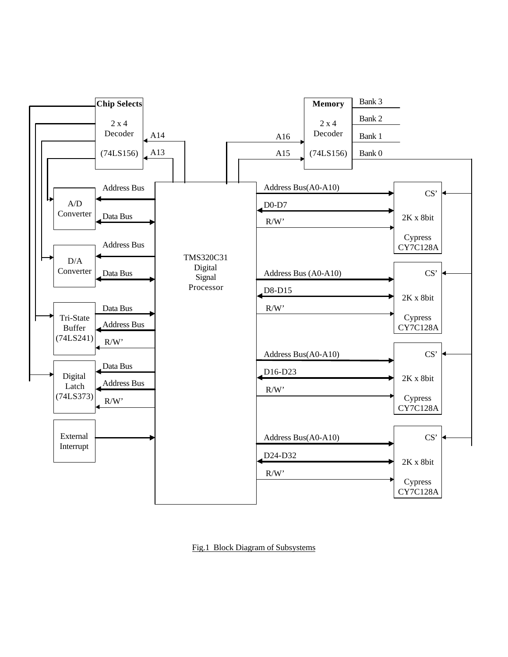

Fig.1 Block Diagram of Subsystems